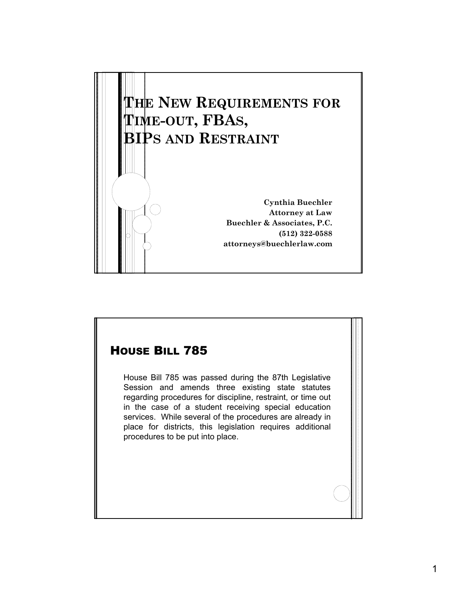

# HOUSE BILL 785 House Bill 785 was passed during the 87th Legislative Session and amends three existing state statutes regarding procedures for discipline, restraint, or time out in the case of a student receiving special education services. While several of the procedures are already in place for districts, this legislation requires additional procedures to be put into place.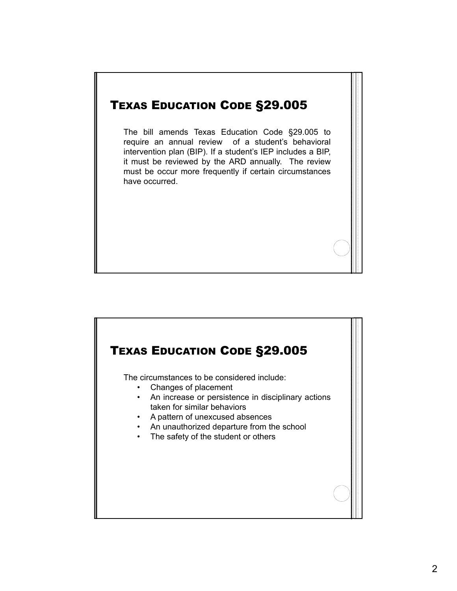# TEXAS EDUCATION CODE §29.005

The bill amends Texas Education Code §29.005 to require an annual review of a student's behavioral intervention plan (BIP). If a student's IEP includes a BIP, it must be reviewed by the ARD annually. The review must be occur more frequently if certain circumstances have occurred.

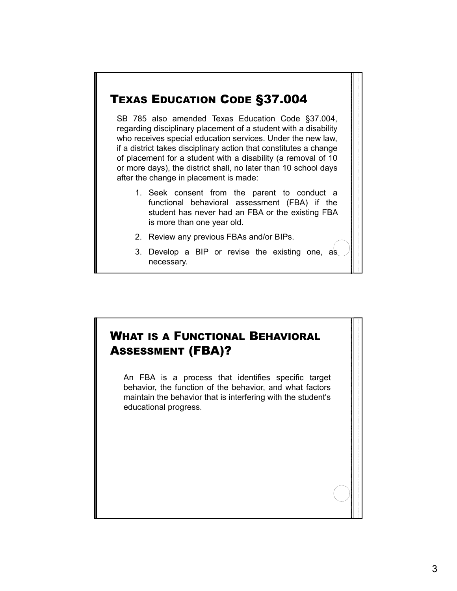## TEXAS EDUCATION CODE §37.004

SB 785 also amended Texas Education Code §37.004, regarding disciplinary placement of a student with a disability who receives special education services. Under the new law, if a district takes disciplinary action that constitutes a change of placement for a student with a disability (a removal of 10 or more days), the district shall, no later than 10 school days after the change in placement is made:

- 1. Seek consent from the parent to conduct a functional behavioral assessment (FBA) if the student has never had an FBA or the existing FBA is more than one year old.
- 2. Review any previous FBAs and/or BIPs.
- 3. Develop a BIP or revise the existing one, as necessary.

# WHAT IS A FUNCTIONAL BEHAVIORAL ASSESSMENT (FBA)?

An FBA is a process that identifies specific target behavior, the function of the behavior, and what factors maintain the behavior that is interfering with the student's educational progress.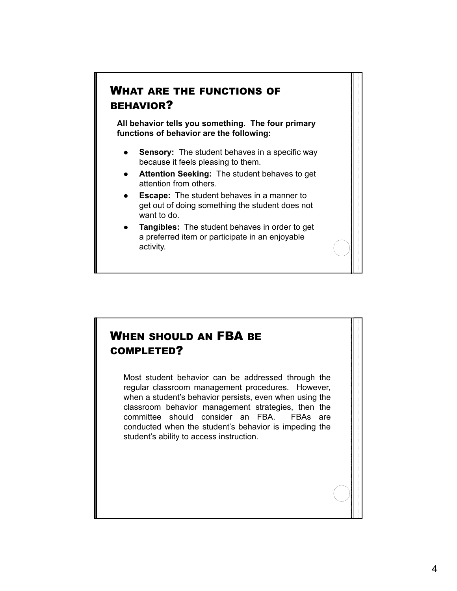## WHAT ARE THE FUNCTIONS OF BEHAVIOR?

**All behavior tells you something. The four primary functions of behavior are the following:** 

- **Sensory:** The student behaves in a specific way because it feels pleasing to them.
- **Attention Seeking:** The student behaves to get attention from others.
- **Escape:** The student behaves in a manner to get out of doing something the student does not want to do.
- **Tangibles:** The student behaves in order to get a preferred item or participate in an enjoyable activity.

#### WHEN SHOULD AN FBA BE COMPLETED?

Most student behavior can be addressed through the regular classroom management procedures. However, when a student's behavior persists, even when using the classroom behavior management strategies, then the committee should consider an FBA. FBAs are conducted when the student's behavior is impeding the student's ability to access instruction.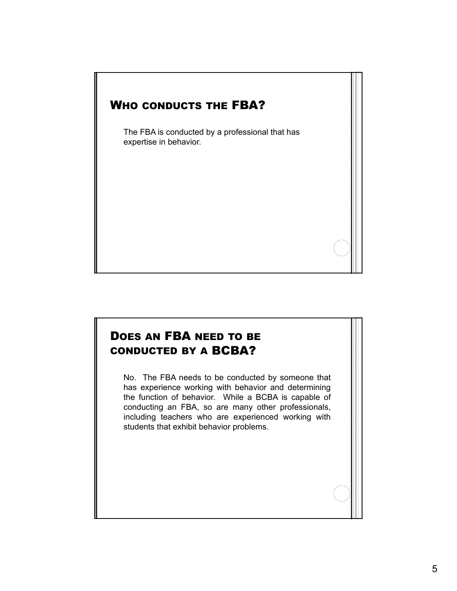# WHO CONDUCTS THE FBA?

The FBA is conducted by a professional that has expertise in behavior.

#### DOES AN FBA NEED TO BE CONDUCTED BY A BCBA?

No. The FBA needs to be conducted by someone that has experience working with behavior and determining the function of behavior. While a BCBA is capable of conducting an FBA, so are many other professionals, including teachers who are experienced working with students that exhibit behavior problems.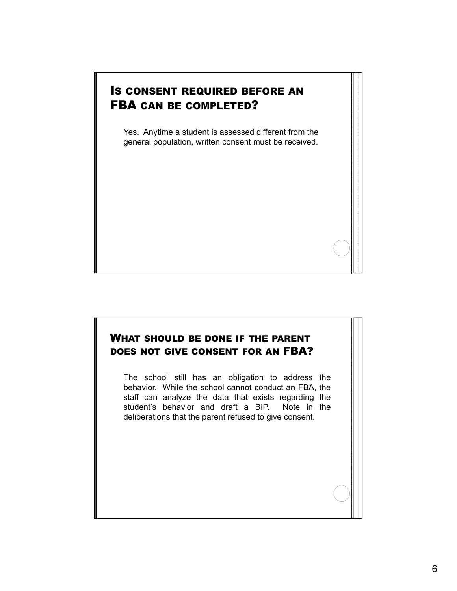### IS CONSENT REQUIRED BEFORE AN FBA CAN BE COMPLETED?

Yes. Anytime a student is assessed different from the general population, written consent must be received.

#### WHAT SHOULD BE DONE IF THE PARENT DOES NOT GIVE CONSENT FOR AN FBA?

The school still has an obligation to address the behavior. While the school cannot conduct an FBA, the staff can analyze the data that exists regarding the student's behavior and draft a BIP. Note in the deliberations that the parent refused to give consent.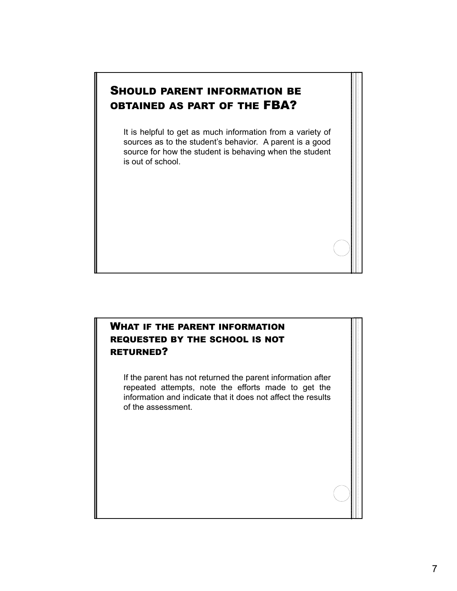#### SHOULD PARENT INFORMATION BE OBTAINED AS PART OF THE FBA?

It is helpful to get as much information from a variety of sources as to the student's behavior. A parent is a good source for how the student is behaving when the student is out of school.

#### WHAT IF THE PARENT INFORMATION REQUESTED BY THE SCHOOL IS NOT RETURNED?

If the parent has not returned the parent information after repeated attempts, note the efforts made to get the information and indicate that it does not affect the results of the assessment.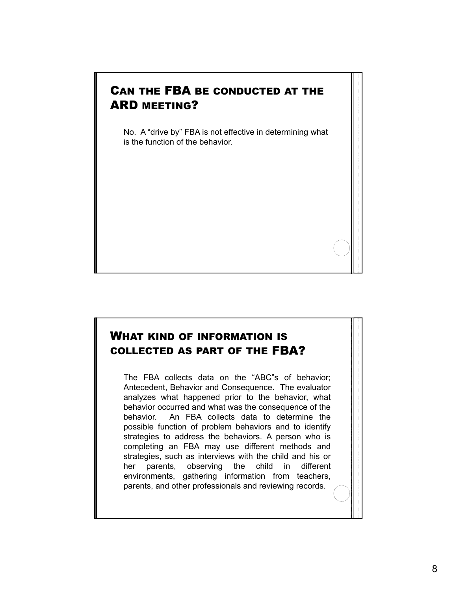## CAN THE FBA BE CONDUCTED AT THE ARD MEETING?

No. A "drive by" FBA is not effective in determining what is the function of the behavior.

#### WHAT KIND OF INFORMATION IS COLLECTED AS PART OF THE FBA?

The FBA collects data on the "ABC"s of behavior; Antecedent, Behavior and Consequence. The evaluator analyzes what happened prior to the behavior, what behavior occurred and what was the consequence of the behavior. An FBA collects data to determine the possible function of problem behaviors and to identify strategies to address the behaviors. A person who is completing an FBA may use different methods and strategies, such as interviews with the child and his or her parents, observing the child in different environments, gathering information from teachers, parents, and other professionals and reviewing records.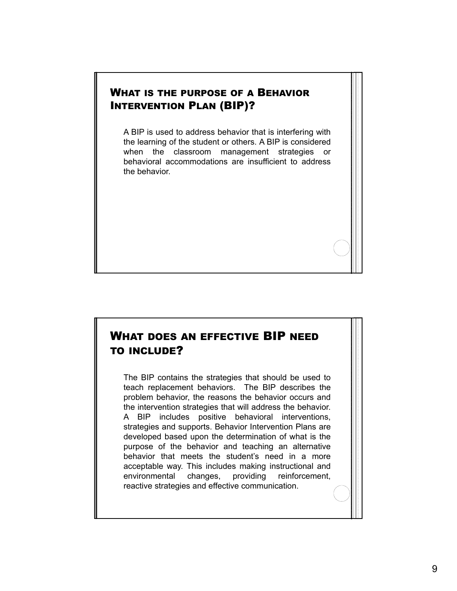#### WHAT IS THE PURPOSE OF A BEHAVIOR INTERVENTION PLAN (BIP)?

A BIP is used to address behavior that is interfering with the learning of the student or others. A BIP is considered when the classroom management strategies or behavioral accommodations are insufficient to address the behavior.

#### WHAT DOES AN EFFECTIVE BIP NEED TO INCLUDE?

The BIP contains the strategies that should be used to teach replacement behaviors. The BIP describes the problem behavior, the reasons the behavior occurs and the intervention strategies that will address the behavior. A BIP includes positive behavioral interventions, strategies and supports. Behavior Intervention Plans are developed based upon the determination of what is the purpose of the behavior and teaching an alternative behavior that meets the student's need in a more acceptable way. This includes making instructional and environmental changes, providing reinforcement, reactive strategies and effective communication.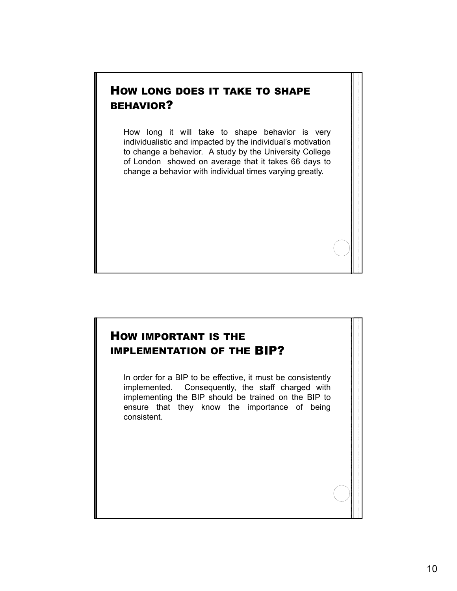#### HOW LONG DOES IT TAKE TO SHAPE BEHAVIOR?

How long it will take to shape behavior is very individualistic and impacted by the individual's motivation to change a behavior. A study by the University College of London showed on average that it takes 66 days to change a behavior with individual times varying greatly.

#### HOW IMPORTANT IS THE IMPLEMENTATION OF THE BIP?

In order for a BIP to be effective, it must be consistently implemented. Consequently, the staff charged with implementing the BIP should be trained on the BIP to ensure that they know the importance of being consistent.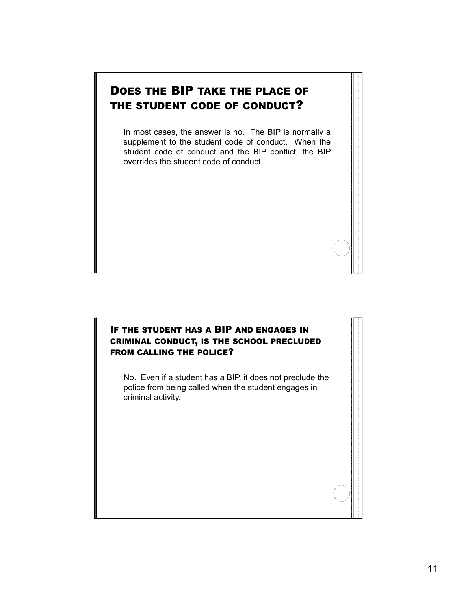#### DOES THE BIP TAKE THE PLACE OF THE STUDENT CODE OF CONDUCT?

In most cases, the answer is no. The BIP is normally a supplement to the student code of conduct. When the student code of conduct and the BIP conflict, the BIP overrides the student code of conduct.

#### IF THE STUDENT HAS A BIP AND ENGAGES IN CRIMINAL CONDUCT, IS THE SCHOOL PRECLUDED FROM CALLING THE POLICE?

No. Even if a student has a BIP, it does not preclude the police from being called when the student engages in criminal activity.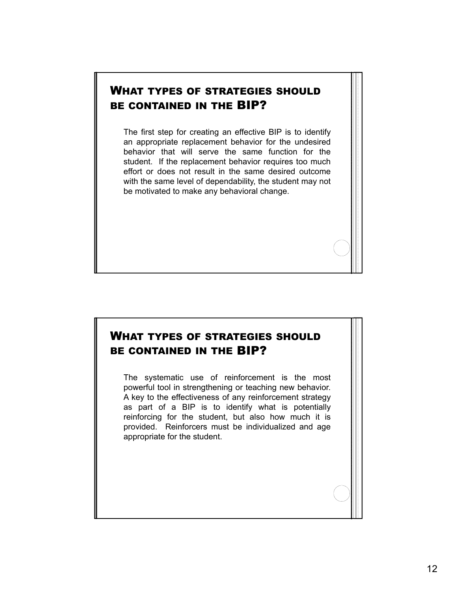#### WHAT TYPES OF STRATEGIES SHOULD BE CONTAINED IN THE BIP?

The first step for creating an effective BIP is to identify an appropriate replacement behavior for the undesired behavior that will serve the same function for the student. If the replacement behavior requires too much effort or does not result in the same desired outcome with the same level of dependability, the student may not be motivated to make any behavioral change.

#### WHAT TYPES OF STRATEGIES SHOULD BE CONTAINED IN THE BIP?

The systematic use of reinforcement is the most powerful tool in strengthening or teaching new behavior. A key to the effectiveness of any reinforcement strategy as part of a BIP is to identify what is potentially reinforcing for the student, but also how much it is provided. Reinforcers must be individualized and age appropriate for the student.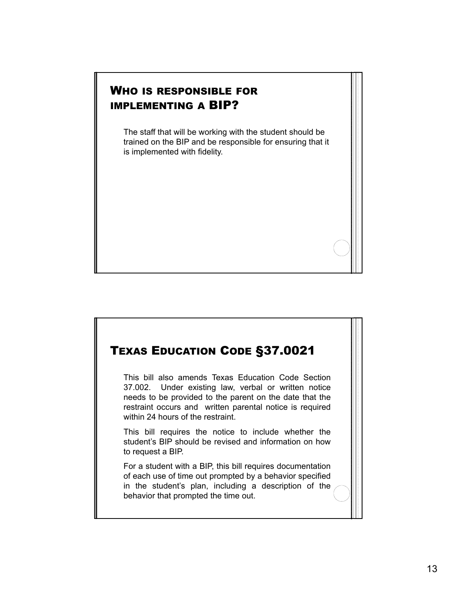#### WHO IS RESPONSIBLE FOR IMPLEMENTING A BIP?

The staff that will be working with the student should be trained on the BIP and be responsible for ensuring that it is implemented with fidelity.

### TEXAS EDUCATION CODE §37.0021

This bill also amends Texas Education Code Section 37.002. Under existing law, verbal or written notice needs to be provided to the parent on the date that the restraint occurs and written parental notice is required within 24 hours of the restraint.

This bill requires the notice to include whether the student's BIP should be revised and information on how to request a BIP.

For a student with a BIP, this bill requires documentation of each use of time out prompted by a behavior specified in the student's plan, including a description of the behavior that prompted the time out.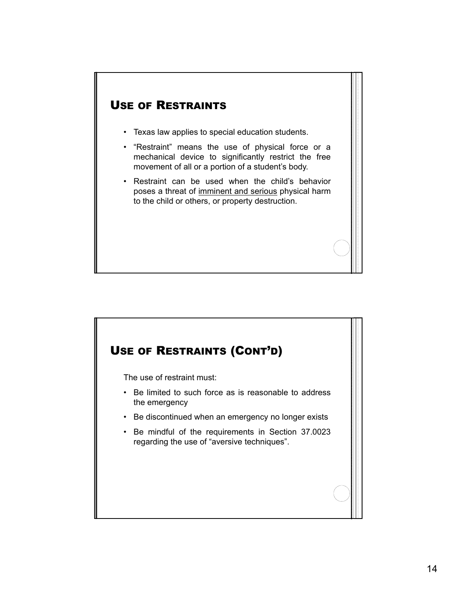## USE OF RESTRAINTS

- Texas law applies to special education students.
- "Restraint" means the use of physical force or a mechanical device to significantly restrict the free movement of all or a portion of a student's body.
- Restraint can be used when the child's behavior poses a threat of imminent and serious physical harm to the child or others, or property destruction.

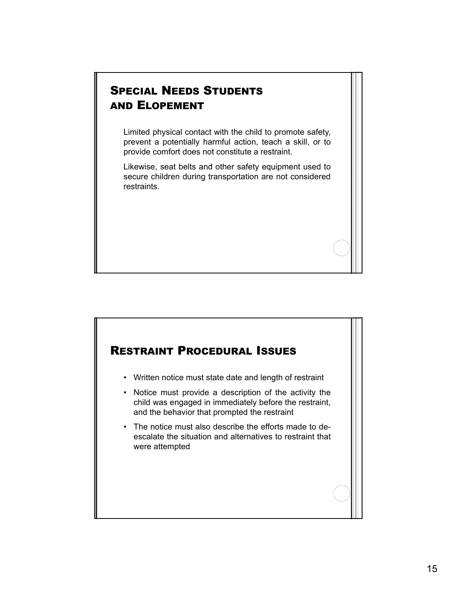# SPECIAL NEEDS STUDENTS AND ELOPEMENT

Limited physical contact with the child to promote safety, prevent a potentially harmful action, teach a skill, or to provide comfort does not constitute a restraint.

Likewise, seat belts and other safety equipment used to secure children during transportation are not considered restraints.

#### RESTRAINT PROCEDURAL ISSUES

- Written notice must state date and length of restraint
- Notice must provide a description of the activity the child was engaged in immediately before the restraint, and the behavior that prompted the restraint
- The notice must also describe the efforts made to deescalate the situation and alternatives to restraint that were attempted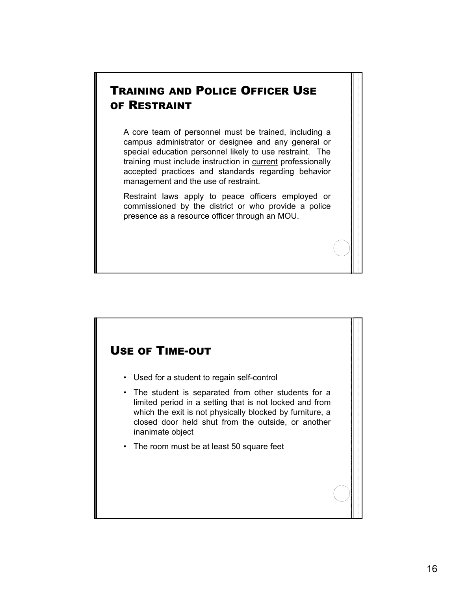## TRAINING AND POLICE OFFICER USE OF RESTRAINT

A core team of personnel must be trained, including a campus administrator or designee and any general or special education personnel likely to use restraint. The training must include instruction in current professionally accepted practices and standards regarding behavior management and the use of restraint.

Restraint laws apply to peace officers employed or commissioned by the district or who provide a police presence as a resource officer through an MOU.

#### USE OF TIME-OUT

- Used for a student to regain self-control
- The student is separated from other students for a limited period in a setting that is not locked and from which the exit is not physically blocked by furniture, a closed door held shut from the outside, or another inanimate object
- The room must be at least 50 square feet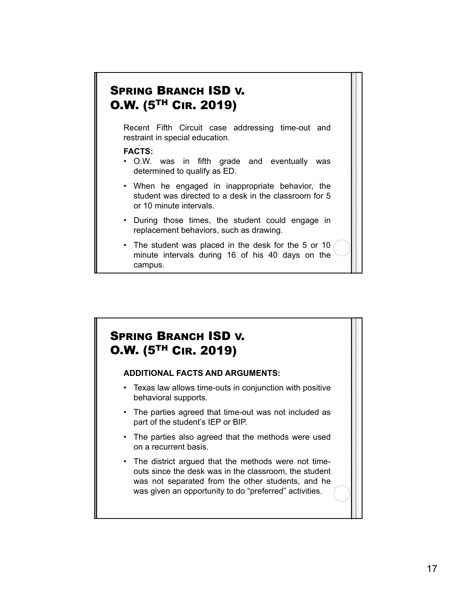### SPRING BRANCH ISD V. O.W. (5TH CIR. 2019)

Recent Fifth Circuit case addressing time-out and restraint in special education.

#### **FACTS:**

- O.W. was in fifth grade and eventually was determined to qualify as ED.
- When he engaged in inappropriate behavior, the student was directed to a desk in the classroom for 5 or 10 minute intervals.
- During those times, the student could engage in replacement behaviors, such as drawing.
- The student was placed in the desk for the 5 or 10 minute intervals during 16 of his 40 days on the campus.

#### SPRING BRANCH ISD V. O.W. (5TH CIR. 2019)

#### **ADDITIONAL FACTS AND ARGUMENTS:**

- Texas law allows time-outs in conjunction with positive behavioral supports.
- The parties agreed that time-out was not included as part of the student's IEP or BIP.
- The parties also agreed that the methods were used on a recurrent basis.
- The district argued that the methods were not timeouts since the desk was in the classroom, the student was not separated from the other students, and he was given an opportunity to do "preferred" activities.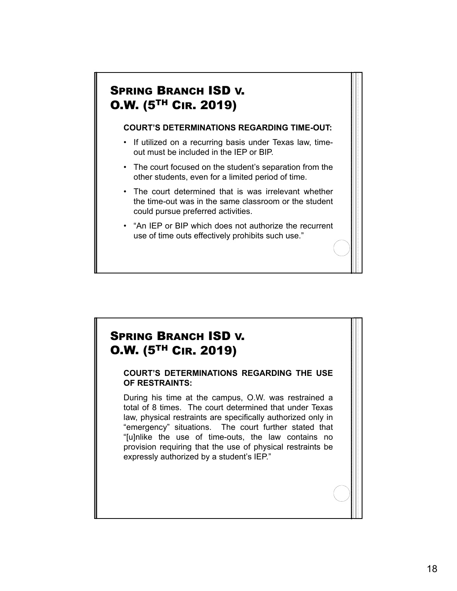## SPRING BRANCH ISD V. O.W. (5TH CIR. 2019)

#### **COURT'S DETERMINATIONS REGARDING TIME-OUT:**

- If utilized on a recurring basis under Texas law, timeout must be included in the IEP or BIP.
- The court focused on the student's separation from the other students, even for a limited period of time.
- The court determined that is was irrelevant whether the time-out was in the same classroom or the student could pursue preferred activities.
- "An IEP or BIP which does not authorize the recurrent use of time outs effectively prohibits such use."

### SPRING BRANCH ISD V. O.W. (5TH CIR. 2019)

#### **COURT'S DETERMINATIONS REGARDING THE USE OF RESTRAINTS:**

During his time at the campus, O.W. was restrained a total of 8 times. The court determined that under Texas law, physical restraints are specifically authorized only in "emergency" situations. The court further stated that "[u]nlike the use of time-outs, the law contains no provision requiring that the use of physical restraints be expressly authorized by a student's IEP."